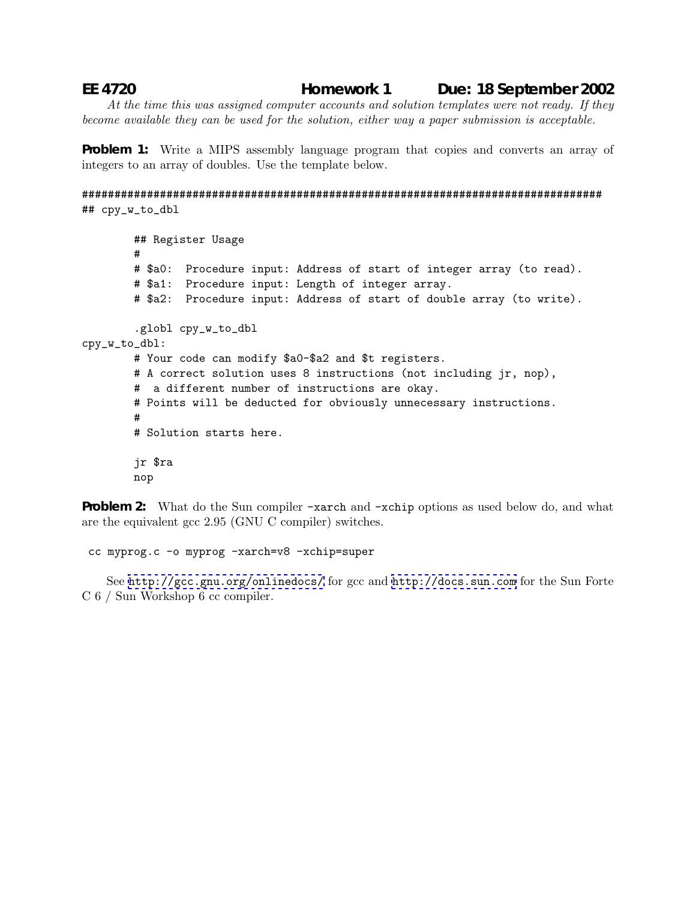## **EE 4720 Homework 1 Due: 18 September 2002**

*At the time this was assigned computer accounts and solution templates were not ready. If they become available they can be used for the solution, either way a paper submission is acceptable.*

**Problem 1:** Write a MIPS assembly language program that copies and converts an array of integers to an array of doubles. Use the template below.

```
################################################################################
## cpy_w_to_dbl
```

```
## Register Usage
        #
        # $a0: Procedure input: Address of start of integer array (to read).
        # $a1: Procedure input: Length of integer array.
        # $a2: Procedure input: Address of start of double array (to write).
        .globl cpy_w_to_dbl
cpy_w_to_dbl:
        # Your code can modify $a0-$a2 and $t registers.
        # A correct solution uses 8 instructions (not including jr, nop),
        # a different number of instructions are okay.
        # Points will be deducted for obviously unnecessary instructions.
        #
        # Solution starts here.
        jr $ra
       nop
```
**Problem 2:** What do the Sun compiler -xarch and -xchip options as used below do, and what are the equivalent gcc 2.95 (GNU C compiler) switches.

cc myprog.c -o myprog -xarch=v8 -xchip=super

See <http://gcc.gnu.org/onlinedocs/> for gcc and <http://docs.sun.com> for the Sun Forte C 6 / Sun Workshop 6 cc compiler.